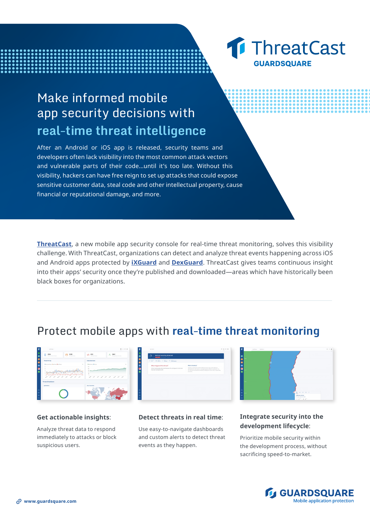# Make informed mobile app security decisions with **real-time threat intelligence**

After an Android or iOS app is released, security teams and developers often lack visibility into the most common attack vectors and vulnerable parts of their code...until it's too late. Without this visibility, hackers can have free reign to set up attacks that could expose sensitive customer data, steal code and other intellectual property, cause financial or reputational damage, and more.

**[ThreatCast](https://www.guardsquare.com/en/products/threatcast)**, a new mobile app security console for real-time threat monitoring, solves this visibility challenge. With ThreatCast, organizations can detect and analyze threat events happening across iOS and Android apps protected by **[iXGuard](https://www.guardsquare.com/en/products/ixguard)** and **[DexGuard](https://www.guardsquare.com/en/products/dexguard)**. ThreatCast gives teams continuous insight into their apps' security once they're published and downloaded—areas which have historically been black boxes for organizations.

# Protect mobile apps with **real-time threat monitoring**

| Let 90 days =                                |                           |                                                | 0.110<br>$\sim$                       |
|----------------------------------------------|---------------------------|------------------------------------------------|---------------------------------------|
| 2034<br>O<br><br><b>Stationisment Source</b> | 2028<br>Total App Threats | $(1)$ 653<br><b>Total Code Trends</b>          | 2841<br>A<br>Average Zath Anton Users |
| Threats Per Day                              |                           | <b>Belly Active Users</b>                      |                                       |
| <b>Convention Exchange Eastman</b>           |                           | <b><i><u>American Accom-</u></i></b><br>$\sim$ | $\sim$                                |
| ٠                                            |                           | <b>STAR</b><br>-                               | <b>ANGERSON</b>                       |
|                                              |                           | <b>ALC</b>                                     |                                       |
|                                              |                           |                                                |                                       |
| Threats Breakdown                            |                           |                                                |                                       |
| <b>By Platform</b>                           |                           | <b>Tap 5 Countries</b>                         |                                       |
|                                              |                           |                                                |                                       |
|                                              |                           |                                                |                                       |
|                                              |                           |                                                |                                       |

#### **Get actionable insights**:

Analyze threat data to respond immediately to attacks or block suspicious users.





Use easy-to-navigate dashboards and custom alerts to detect threat events as they happen.

**1 ThreatCast** 

**GUARDSOUARE** 

### **Integrate security into the development lifecycle**:

Prioritize mobile security within the development process, without sacrificing speed-to-market.